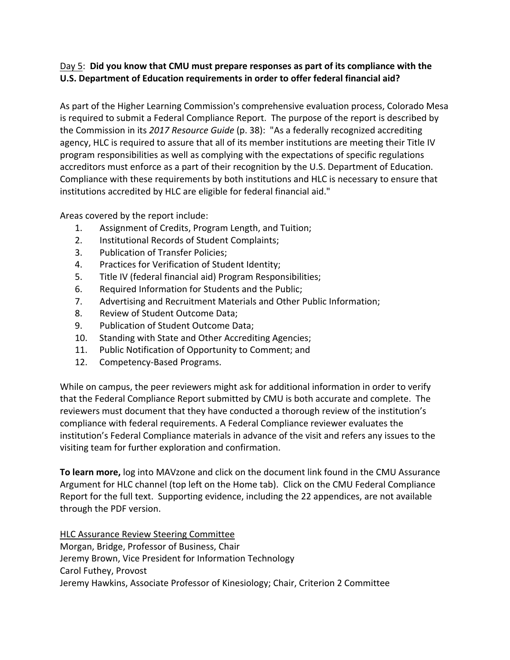## Day 5: **Did you know that CMU must prepare responses as part of its compliance with the U.S. Department of Education requirements in order to offer federal financial aid?**

As part of the Higher Learning Commission's comprehensive evaluation process, Colorado Mesa is required to submit a Federal Compliance Report. The purpose of the report is described by the Commission in its *2017 Resource Guide* (p. 38): "As a federally recognized accrediting agency, HLC is required to assure that all of its member institutions are meeting their Title IV program responsibilities as well as complying with the expectations of specific regulations accreditors must enforce as a part of their recognition by the U.S. Department of Education. Compliance with these requirements by both institutions and HLC is necessary to ensure that institutions accredited by HLC are eligible for federal financial aid."

Areas covered by the report include:

- 1. Assignment of Credits, Program Length, and Tuition;
- 2. Institutional Records of Student Complaints;
- 3. Publication of Transfer Policies;
- 4. Practices for Verification of Student Identity;
- 5. Title IV (federal financial aid) Program Responsibilities;
- 6. Required Information for Students and the Public;
- 7. Advertising and Recruitment Materials and Other Public Information;
- 8. Review of Student Outcome Data;
- 9. Publication of Student Outcome Data;
- 10. Standing with State and Other Accrediting Agencies;
- 11. Public Notification of Opportunity to Comment; and
- 12. Competency-Based Programs.

While on campus, the peer reviewers might ask for additional information in order to verify that the Federal Compliance Report submitted by CMU is both accurate and complete. The reviewers must document that they have conducted a thorough review of the institution's compliance with federal requirements. A Federal Compliance reviewer evaluates the institution's Federal Compliance materials in advance of the visit and refers any issues to the visiting team for further exploration and confirmation.

**To learn more,** log into MAVzone and click on the document link found in the CMU Assurance Argument for HLC channel (top left on the Home tab). Click on the CMU Federal Compliance Report for the full text. Supporting evidence, including the 22 appendices, are not available through the PDF version.

HLC Assurance Review Steering Committee Morgan, Bridge, Professor of Business, Chair Jeremy Brown, Vice President for Information Technology Carol Futhey, Provost Jeremy Hawkins, Associate Professor of Kinesiology; Chair, Criterion 2 Committee